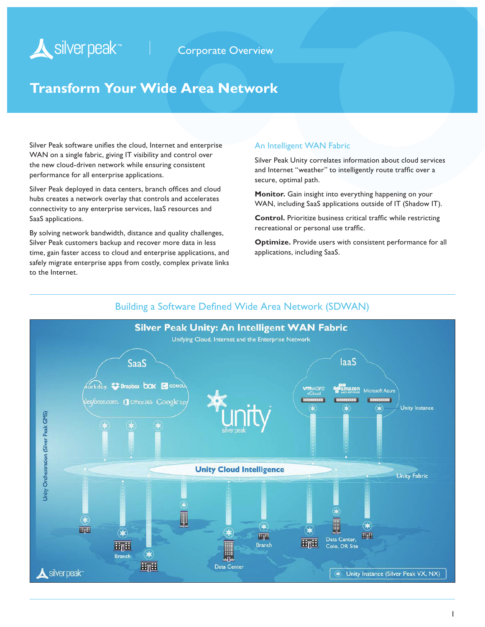# Silver peak<sup>-1</sup> corporate Overview

# **Transform Your Wide Area Network**

Silver Peak software unifies the cloud, Internet and enterprise WAN on a single fabric, giving IT visibility and control over the new cloud-driven network while ensuring consistent performance for all enterprise applications.

Silver Peak deployed in data centers, branch offices and cloud hubs creates a network overlay that controls and accelerates connectivity to any enterprise services, IaaS resources and SaaS applications.

By solving network bandwidth, distance and quality challenges, Silver Peak customers backup and recover more data in less time, gain faster access to cloud and enterprise applications, and safely migrate enterprise apps from costly, complex private links to the Internet.

### An Intelligent WAN Fabric

Silver Peak Unity correlates information about cloud services and Internet "weather" to intelligently route traffic over a secure, optimal path.

**Monitor.** Gain insight into everything happening on your WAN, including SaaS applications outside of IT (Shadow IT).

**Control.** Prioritize business critical traffic while restricting recreational or personal use traffic.

**Optimize.** Provide users with consistent performance for all applications, including SaaS.



### Building a Software Defined Wide Area Network (SDWAN)